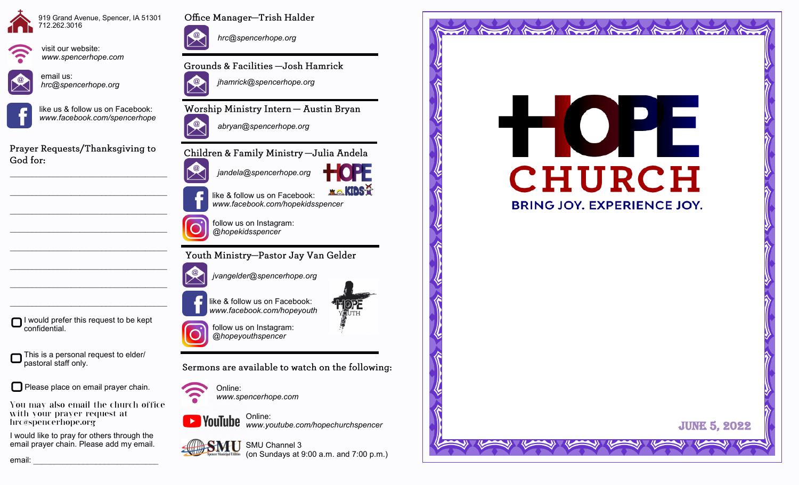



visit our website:



*www.spencerhope.com*

email us: *hrc@spencerhope.org*



like us & follow us on Facebook: *www.facebook.com/spencerhope*

Prayer Requests/Thanksgiving to God for:

 $\mathcal{L}_\text{max}$  , and the set of the set of the set of the set of the set of the set of the set of the set of the set of the set of the set of the set of the set of the set of the set of the set of the set of the set of the

 $\mathcal{L}_\text{max}$  , and the set of the set of the set of the set of the set of the set of the set of the set of the set of the set of the set of the set of the set of the set of the set of the set of the set of the set of the

 $\mathcal{L}_\text{max}$  , and the set of the set of the set of the set of the set of the set of the set of the set of the set of the set of the set of the set of the set of the set of the set of the set of the set of the set of the

 $\mathcal{L}_\text{max}$ 

 $\mathcal{L}_\text{max}$ 

 $\mathcal{L}_\text{max}$ 



Office Manager-Trish Halder

*hrc@spencerhope.org*

Grounds & Facilities -Josh Hamrick



Worship Ministry Intern - Austin Bryan



Children & Family Ministry - Julia Andela



like & follow us on Facebook: *www.facebook.com/hopekidsspencer*



Youth Ministry-Pastor Jay Van Gelder

*jvangelder@spencerhope.org*

like & follow us on Facebook: *www.facebook.com/hopeyouth*



**XO.KIDS?** 

I would prefer this request to be kept confidential.

This is a personal request to elder/ pastoral staff only.

Please place on email prayer chain.

You may also email the church office with your prayer request at hrc@spencerhope.org

I would like to pray for others through the email prayer chain. Please add my email.





*www.spencerhope.com*

Online: *www.youtube.com/hopechurchspencer*







and the thing the